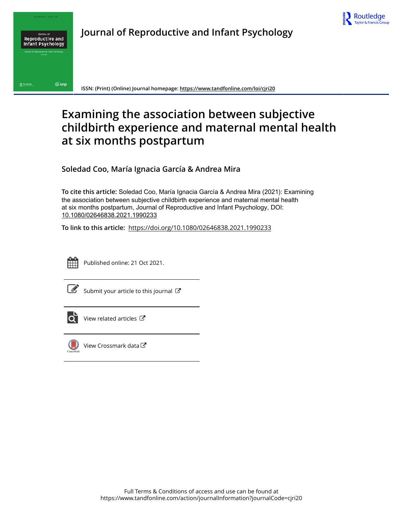



**Journal of Reproductive and Infant Psychology**

**ISSN: (Print) (Online) Journal homepage: https://www.tandfonline.com/loi/cjri20**

# **Examining the association between subjective childbirth experience and maternal mental health at six months postpartum**

**Soledad Coo, María Ignacia García & Andrea Mira**

**To cite this article:** Soledad Coo, María Ignacia García & Andrea Mira (2021): Examining the association between subjective childbirth experience and maternal mental health at six months postpartum, Journal of Reproductive and Infant Psychology, DOI: 10.1080/02646838.2021.1990233

**To link to this article:** https://doi.org/10.1080/02646838.2021.1990233



Published online: 21 Oct 2021.



 $\overrightarrow{S}$  Submit your article to this journal  $\overrightarrow{S}$ 



 $\bullet$  View related articles  $\mathbb{Z}$ 



View Crossmark data $\sigma$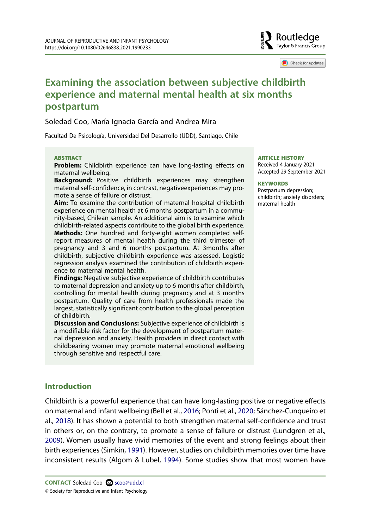## Routledae Taylor & Francis Group

Check for updates

# **Examining the association between subjective childbirth experience and maternal mental health at six months postpartum**

#### Soledad Coo, María Ignacia García and Andrea Mira

Facultad De Psicología, Universidad Del Desarrollo (UDD), Santiago, Chile

#### **ABSTRACT**

**Problem:** Childbirth experience can have long-lasting effects on maternal wellbeing.

**Background:** Positive childbirth experiences may strengthen maternal self-confidence, in contrast, negativeexperiences may promote a sense of failure or distrust.

**Aim:** To examine the contribution of maternal hospital childbirth experience on mental health at 6 months postpartum in a community-based, Chilean sample. An additional aim is to examine which childbirth-related aspects contribute to the global birth experience. **Methods:** One hundred and forty-eight women completed selfreport measures of mental health during the third trimester of pregnancy and 3 and 6 months postpartum. At 3months after childbirth, subjective childbirth experience was assessed. Logistic regression analysis examined the contribution of childbirth experience to maternal mental health.

**Findings:** Negative subjective experience of childbirth contributes to maternal depression and anxiety up to 6 months after childbirth, controlling for mental health during pregnancy and at 3 months postpartum. Quality of care from health professionals made the largest, statistically significant contribution to the global perception of childbirth.

**Discussion and Conclusions:** Subjective experience of childbirth is a modifiable risk factor for the development of postpartum maternal depression and anxiety. Health providers in direct contact with childbearing women may promote maternal emotional wellbeing through sensitive and respectful care.

#### **ARTICLE HISTORY**

Received 4 January 2021 Accepted 29 September 2021

#### **KEYWORDS**

Postpartum depression; childbirth; anxiety disorders; maternal health

## **Introduction**

Childbirth is a powerful experience that can have long-lasting positive or negative effects on maternal and infant wellbeing (Bell et al., 2016; Ponti et al., 2020; Sánchez-Cunqueiro et al., 2018). It has shown a potential to both strengthen maternal self-confidence and trust in others or, on the contrary, to promote a sense of failure or distrust (Lundgren et al., 2009). Women usually have vivid memories of the event and strong feelings about their birth experiences (Simkin, 1991). However, studies on childbirth memories over time have inconsistent results (Algom & Lubel, 1994). Some studies show that most women have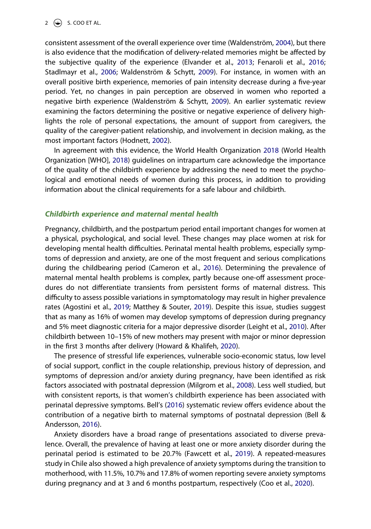consistent assessment of the overall experience over time (Waldenström, 2004), but there is also evidence that the modification of delivery-related memories might be affected by the subjective quality of the experience (Elvander et al., 2013; Fenaroli et al., 2016; Stadlmayr et al., 2006; Waldenström & Schytt, 2009). For instance, in women with an overall positive birth experience, memories of pain intensity decrease during a five-year period. Yet, no changes in pain perception are observed in women who reported a negative birth experience (Waldenström & Schytt, 2009). An earlier systematic review examining the factors determining the positive or negative experience of delivery highlights the role of personal expectations, the amount of support from caregivers, the quality of the caregiver-patient relationship, and involvement in decision making, as the most important factors (Hodnett, 2002).

In agreement with this evidence, the World Health Organization 2018 (World Health Organization [WHO], 2018) guidelines on intrapartum care acknowledge the importance of the quality of the childbirth experience by addressing the need to meet the psychological and emotional needs of women during this process, in addition to providing information about the clinical requirements for a safe labour and childbirth.

#### *Childbirth experience and maternal mental health*

Pregnancy, childbirth, and the postpartum period entail important changes for women at a physical, psychological, and social level. These changes may place women at risk for developing mental health difficulties. Perinatal mental health problems, especially symptoms of depression and anxiety, are one of the most frequent and serious complications during the childbearing period (Cameron et al., 2016). Determining the prevalence of maternal mental health problems is complex, partly because one-off assessment procedures do not differentiate transients from persistent forms of maternal distress. This difficulty to assess possible variations in symptomatology may result in higher prevalence rates (Agostini et al., 2019; Matthey & Souter, 2019). Despite this issue, studies suggest that as many as 16% of women may develop symptoms of depression during pregnancy and 5% meet diagnostic criteria for a major depressive disorder (Leight et al., 2010). After childbirth between 10–15% of new mothers may present with major or minor depression in the first 3 months after delivery (Howard & Khalifeh, 2020).

The presence of stressful life experiences, vulnerable socio-economic status, low level of social support, conflict in the couple relationship, previous history of depression, and symptoms of depression and/or anxiety during pregnancy, have been identified as risk factors associated with postnatal depression (Milgrom et al., 2008). Less well studied, but with consistent reports, is that women's childbirth experience has been associated with perinatal depressive symptoms. Bell's (2016) systematic review offers evidence about the contribution of a negative birth to maternal symptoms of postnatal depression (Bell & Andersson, 2016).

Anxiety disorders have a broad range of presentations associated to diverse prevalence. Overall, the prevalence of having at least one or more anxiety disorder during the perinatal period is estimated to be 20.7% (Fawcett et al., 2019). A repeated-measures study in Chile also showed a high prevalence of anxiety symptoms during the transition to motherhood, with 11.5%, 10.7% and 17.8% of women reporting severe anxiety symptoms during pregnancy and at 3 and 6 months postpartum, respectively (Coo et al., 2020).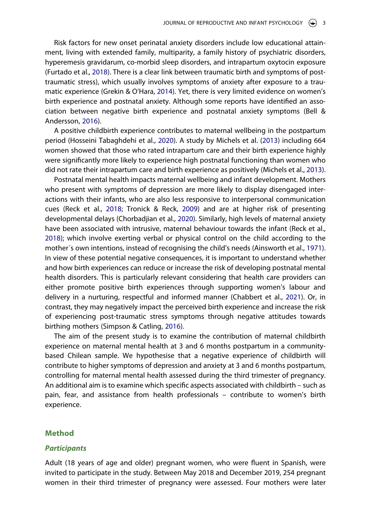Risk factors for new onset perinatal anxiety disorders include low educational attainment, living with extended family, multiparity, a family history of psychiatric disorders, hyperemesis gravidarum, co-morbid sleep disorders, and intrapartum oxytocin exposure (Furtado et al., 2018). There is a clear link between traumatic birth and symptoms of posttraumatic stress), which usually involves symptoms of anxiety after exposure to a traumatic experience (Grekin & O'Hara, 2014). Yet, there is very limited evidence on women's birth experience and postnatal anxiety. Although some reports have identified an association between negative birth experience and postnatal anxiety symptoms (Bell & Andersson, 2016).

A positive childbirth experience contributes to maternal wellbeing in the postpartum period (Hosseini Tabaghdehi et al., 2020). A study by Michels et al. (2013) including 664 women showed that those who rated intrapartum care and their birth experience highly were significantly more likely to experience high postnatal functioning than women who did not rate their intrapartum care and birth experience as positively (Michels et al., 2013).

Postnatal mental health impacts maternal wellbeing and infant development. Mothers who present with symptoms of depression are more likely to display disengaged interactions with their infants, who are also less responsive to interpersonal communication cues (Reck et al., 2018; Tronick & Reck, 2009) and are at higher risk of presenting developmental delays (Chorbadjian et al., 2020). Similarly, high levels of maternal anxiety have been associated with intrusive, maternal behaviour towards the infant (Reck et al., 2018); which involve exerting verbal or physical control on the child according to the mother´s own intentions, instead of recognising the child's needs (Ainsworth et al., 1971). In view of these potential negative consequences, it is important to understand whether and how birth experiences can reduce or increase the risk of developing postnatal mental health disorders. This is particularly relevant considering that health care providers can either promote positive birth experiences through supporting women's labour and delivery in a nurturing, respectful and informed manner (Chabbert et al., 2021). Or, in contrast, they may negatively impact the perceived birth experience and increase the risk of experiencing post-traumatic stress symptoms through negative attitudes towards birthing mothers (Simpson & Catling, 2016).

The aim of the present study is to examine the contribution of maternal childbirth experience on maternal mental health at 3 and 6 months postpartum in a communitybased Chilean sample. We hypothesise that a negative experience of childbirth will contribute to higher symptoms of depression and anxiety at 3 and 6 months postpartum, controlling for maternal mental health assessed during the third trimester of pregnancy. An additional aim is to examine which specific aspects associated with childbirth – such as pain, fear, and assistance from health professionals – contribute to women's birth experience.

#### **Method**

#### *Participants*

Adult (18 years of age and older) pregnant women, who were fluent in Spanish, were invited to participate in the study. Between May 2018 and December 2019, 254 pregnant women in their third trimester of pregnancy were assessed. Four mothers were later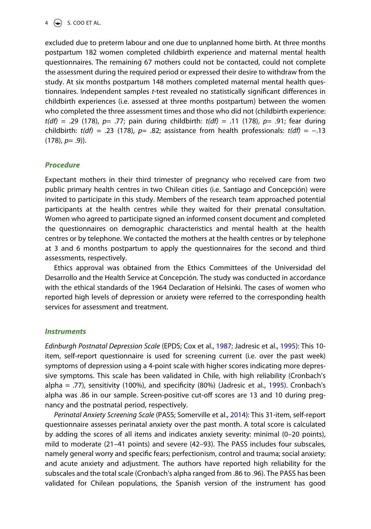excluded due to preterm labour and one due to unplanned home birth. At three months postpartum 182 women completed childbirth experience and maternal mental health questionnaires. The remaining 67 mothers could not be contacted, could not complete the assessment during the required period or expressed their desire to withdraw from the study. At six months postpartum 148 mothers completed maternal mental health questionnaires. Independent samples *t*-test revealed no statistically significant differences in childbirth experiences (i.e. assessed at three months postpartum) between the women who completed the three assessment times and those who did not (childbirth experience: *t(df)* = .29 (178), *p*= .77; pain during childbirth: *t(df)* = .11 (178), *p*= .91; fear during childbirth: *t(df)* = .23 (178), *p*= .82; assistance from health professionals: *t(df)* = −.13  $(178)$ ,  $p= .9$ )).

## *Procedure*

Expectant mothers in their third trimester of pregnancy who received care from two public primary health centres in two Chilean cities (i.e. Santiago and Concepción) were invited to participate in this study. Members of the research team approached potential participants at the health centres while they waited for their prenatal consultation. Women who agreed to participate signed an informed consent document and completed the questionnaires on demographic characteristics and mental health at the health centres or by telephone. We contacted the mothers at the health centres or by telephone at 3 and 6 months postpartum to apply the questionnaires for the second and third assessments, respectively.

Ethics approval was obtained from the Ethics Committees of the Universidad del Desarrollo and the Health Service at Concepción. The study was conducted in accordance with the ethical standards of the 1964 Declaration of Helsinki. The cases of women who reported high levels of depression or anxiety were referred to the corresponding health services for assessment and treatment.

## *Instruments*

*Edinburgh Postnatal Depression Scale* (EPDS; Cox et al., 1987; Jadresic et al., 1995): This 10 item, self-report questionnaire is used for screening current (i.e. over the past week) symptoms of depression using a 4-point scale with higher scores indicating more depressive symptoms. This scale has been validated in Chile, with high reliability (Cronbach's alpha  $=$  .77), sensitivity (100%), and specificity (80%) (Jadresic et al., 1995). Cronbach's alpha was .86 in our sample. Screen-positive cut-off scores are 13 and 10 during pregnancy and the postnatal period, respectively.

*Perinatal Anxiety Screening Scale* (PASS; Somerville et al., 2014): This 31-item, self-report questionnaire assesses perinatal anxiety over the past month. A total score is calculated by adding the scores of all items and indicates anxiety severity: minimal (0–20 points), mild to moderate (21–41 points) and severe (42–93). The PASS includes four subscales, namely general worry and specific fears; perfectionism, control and trauma; social anxiety; and acute anxiety and adjustment. The authors have reported high reliability for the subscales and the total scale (Cronbach's alpha ranged from .86 to .96). The PASS has been validated for Chilean populations, the Spanish version of the instrument has good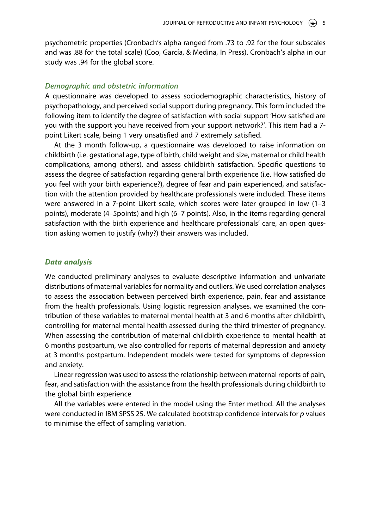psychometric properties (Cronbach's alpha ranged from .73 to .92 for the four subscales and was .88 for the total scale) (Coo, García, & Medina, In Press). Cronbach's alpha in our study was .94 for the global score.

#### *Demographic and obstetric information*

A questionnaire was developed to assess sociodemographic characteristics, history of psychopathology, and perceived social support during pregnancy. This form included the following item to identify the degree of satisfaction with social support 'How satisfied are you with the support you have received from your support network?'. This item had a 7 point Likert scale, being 1 very unsatisfied and 7 extremely satisfied.

At the 3 month follow-up, a questionnaire was developed to raise information on childbirth (i.e. gestational age, type of birth, child weight and size, maternal or child health complications, among others), and assess childbirth satisfaction. Specific questions to assess the degree of satisfaction regarding general birth experience (i.e. How satisfied do you feel with your birth experience?), degree of fear and pain experienced, and satisfaction with the attention provided by healthcare professionals were included. These items were answered in a 7-point Likert scale, which scores were later grouped in low (1–3 points), moderate (4–5points) and high (6–7 points). Also, in the items regarding general satisfaction with the birth experience and healthcare professionals' care, an open question asking women to justify (why?) their answers was included.

#### *Data analysis*

We conducted preliminary analyses to evaluate descriptive information and univariate distributions of maternal variables for normality and outliers. We used correlation analyses to assess the association between perceived birth experience, pain, fear and assistance from the health professionals. Using logistic regression analyses, we examined the contribution of these variables to maternal mental health at 3 and 6 months after childbirth, controlling for maternal mental health assessed during the third trimester of pregnancy. When assessing the contribution of maternal childbirth experience to mental health at 6 months postpartum, we also controlled for reports of maternal depression and anxiety at 3 months postpartum. Independent models were tested for symptoms of depression and anxiety.

Linear regression was used to assess the relationship between maternal reports of pain, fear, and satisfaction with the assistance from the health professionals during childbirth to the global birth experience

All the variables were entered in the model using the Enter method. All the analyses were conducted in IBM SPSS 25. We calculated bootstrap confidence intervals for *p* values to minimise the effect of sampling variation.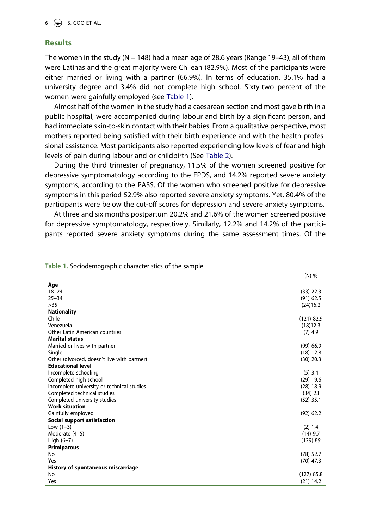#### **Results**

The women in the study ( $N = 148$ ) had a mean age of 28.6 years (Range 19–43), all of them were Latinas and the great majority were Chilean (82.9%). Most of the participants were either married or living with a partner (66.9%). In terms of education, 35.1% had a university degree and 3.4% did not complete high school. Sixty-two percent of the women were gainfully employed (see Table 1).

Almost half of the women in the study had a caesarean section and most gave birth in a public hospital, were accompanied during labour and birth by a significant person, and had immediate skin-to-skin contact with their babies. From a qualitative perspective, most mothers reported being satisfied with their birth experience and with the health professional assistance. Most participants also reported experiencing low levels of fear and high levels of pain during labour and-or childbirth (See Table 2).

During the third trimester of pregnancy, 11.5% of the women screened positive for depressive symptomatology according to the EPDS, and 14.2% reported severe anxiety symptoms, according to the PASS. Of the women who screened positive for depressive symptoms in this period 52.9% also reported severe anxiety symptoms. Yet, 80.4% of the participants were below the cut-off scores for depression and severe anxiety symptoms.

At three and six months postpartum 20.2% and 21.6% of the women screened positive for depressive symptomatology, respectively. Similarly, 12.2% and 14.2% of the participants reported severe anxiety symptoms during the same assessment times. Of the

|                                             | $(N)$ %      |
|---------------------------------------------|--------------|
| Age                                         |              |
| $18 - 24$                                   | $(33)$ 22.3  |
| $25 - 34$                                   | $(91)$ 62.5  |
| >35                                         | (24)16.2     |
| <b>Nationality</b>                          |              |
| Chile                                       | $(121)$ 82.9 |
| Venezuela                                   | (18)12.3     |
| Other Latin American countries              | $(7)$ 4.9    |
| <b>Marital status</b>                       |              |
| Married or lives with partner               | $(99)$ 66.9  |
| Single                                      | $(18)$ 12.8  |
| Other (divorced, doesn't live with partner) | $(30)$ 20.3  |
| <b>Educational level</b>                    |              |
| Incomplete schooling                        | $(5)$ 3.4    |
| Completed high school                       | $(29)$ 19.6  |
| Incomplete university or technical studies  | $(28)$ 18.9  |
| Completed technical studies                 | $(34)$ 23    |
| Completed university studies                | $(52)$ 35.1  |
| <b>Work situation</b>                       |              |
| Gainfully employed                          | $(92)$ 62.2  |
| Social support satisfaction                 |              |
| Low $(1-3)$                                 | (2) 1.4      |
| Moderate (4-5)                              | $(14)$ 9.7   |
| High $(6-7)$                                | (129) 89     |
| <b>Primiparous</b>                          |              |
| No                                          | $(78)$ 52.7  |
| Yes                                         | $(70)$ 47.3  |
| History of spontaneous miscarriage          |              |
| No                                          | $(127)$ 85.8 |
| Yes                                         | $(21)$ 14.2  |

**Table 1.** Sociodemographic characteristics of the sample.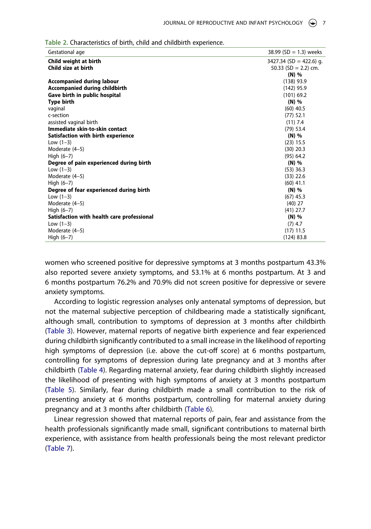| Gestational age                            | 38.99 (SD = 1.3) weeks    |
|--------------------------------------------|---------------------------|
| Child weight at birth                      | $3427.34$ (SD = 422.6) g. |
| Child size at birth                        | 50.33 $(SD = 2.2)$ cm.    |
|                                            | $(N)$ %                   |
| <b>Accompanied during labour</b>           | $(138)$ 93.9              |
| <b>Accompanied during childbirth</b>       | $(142)$ 95.9              |
| Gave birth in public hospital              | $(101)$ 69.2              |
| <b>Type birth</b>                          | (N) %                     |
| vaginal                                    | $(60)$ 40.5               |
| c-section                                  | $(77)$ 52.1               |
| assisted vaginal birth                     | $(11)$ 7.4                |
| Immediate skin-to-skin contact             | $(79)$ 53.4               |
| Satisfaction with birth experience         | $(N)$ %                   |
| Low $(1-3)$                                | $(23)$ 15.5               |
| Moderate (4–5)                             | $(30)$ 20.3               |
| High $(6-7)$                               | (95) 64.2                 |
| Degree of pain experienced during birth    | (N) %                     |
| Low $(1-3)$                                | $(53)$ 36.3               |
| Moderate (4-5)                             | $(33)$ 22.6               |
| High $(6-7)$                               | $(60)$ 41.1               |
| Degree of fear experienced during birth    | (N) %                     |
| Low $(1-3)$                                | $(67)$ 45.3               |
| Moderate (4-5)                             | $(40)$ 27                 |
| High $(6-7)$                               | $(41)$ 27.7               |
| Satisfaction with health care professional | (N) %                     |
| Low $(1-3)$                                | $(7)$ 4.7                 |
| Moderate (4-5)                             | $(17)$ 11.5               |
| High $(6-7)$                               | (124) 83.8                |

**Table 2.** Characteristics of birth, child and childbirth experience.

women who screened positive for depressive symptoms at 3 months postpartum 43.3% also reported severe anxiety symptoms, and 53.1% at 6 months postpartum. At 3 and 6 months postpartum 76.2% and 70.9% did not screen positive for depressive or severe anxiety symptoms.

According to logistic regression analyses only antenatal symptoms of depression, but not the maternal subjective perception of childbearing made a statistically significant, although small, contribution to symptoms of depression at 3 months after childbirth (Table 3). However, maternal reports of negative birth experience and fear experienced during childbirth significantly contributed to a small increase in the likelihood of reporting high symptoms of depression (i.e. above the cut-off score) at 6 months postpartum, controlling for symptoms of depression during late pregnancy and at 3 months after childbirth (Table 4). Regarding maternal anxiety, fear during childbirth slightly increased the likelihood of presenting with high symptoms of anxiety at 3 months postpartum (Table 5). Similarly, fear during childbirth made a small contribution to the risk of presenting anxiety at 6 months postpartum, controlling for maternal anxiety during pregnancy and at 3 months after childbirth (Table 6).

Linear regression showed that maternal reports of pain, fear and assistance from the health professionals significantly made small, significant contributions to maternal birth experience, with assistance from health professionals being the most relevant predictor (Table 7).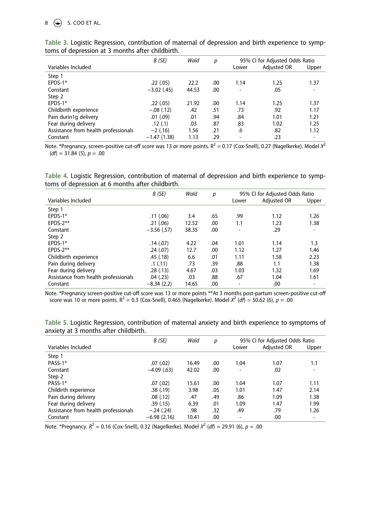## $8 \quad \Leftrightarrow$  S. COO ET AL.

|                                      | B(SE)         | Wald  | р   | 95% CI for Adjusted Odds Ratio |             |       |
|--------------------------------------|---------------|-------|-----|--------------------------------|-------------|-------|
| Variables Included                   |               |       |     | Lower                          | Adjusted OR | Upper |
| Step 1                               |               |       |     |                                |             |       |
| EPDS-1*                              | .22(.05)      | 22.2  | .00 | 1.14                           | 1.25        | 1.37  |
| Constant                             | $-3.02$ (.45) | 44.53 | .00 |                                | .05         |       |
| Step 2                               |               |       |     |                                |             |       |
| $EPDS-1*$                            | .22(.05)      | 21.92 | .00 | 1.14                           | 1.25        | 1.37  |
| Childbirth experience                | $-.08(.12)$   | .42   | .51 | .73                            | .92         | 1.17  |
| Pain durin1g delivery                | $.01$ $(.09)$ | .01   | .94 | .84                            | 1.01        | 1.21  |
| Fear during delivery                 | .12(.1)       | .03   | .87 | .83                            | 1.02        | 1.25  |
| Assistance from health professionals | $-2(0.16)$    | 1.56  | .21 | .6                             | .82         | 1.12  |
| Constant                             | $-1.47(1.38)$ | 1.13  | .29 | -                              | .23         |       |

**Table 3.** Logistic Regression, contribution of maternal of depression and birth experience to symptoms of depression at 3 months after childbirth.

Note. \*Pregnancy, screen-positive cut-off score was 13 or more points.  $R^2 = 0.17$  (Cox-Snell), 0.27 (Nagelkerke). Model  $X^2$  $(df) = 31.84$  (5),  $p = .00$ 

**Table 4.** Logistic Regression, contribution of maternal of depression and birth experience to symptoms of depression at 6 months after childbirth.

|                                      | B(SE)         | Wald  | р   | 95% CI for Adjusted Odds Ratio |             |       |
|--------------------------------------|---------------|-------|-----|--------------------------------|-------------|-------|
| Variables Included                   |               |       |     | Lower                          | Adjusted OR | Upper |
| Step 1                               |               |       |     |                                |             |       |
| EPDS-1*                              | .11(06)       | 3.4   | .65 | .99                            | 1.12        | 1.26  |
| $EPDS-2***$                          | .21(.06)      | 12.52 | .00 | 1.1                            | 1.23        | 1.38  |
| Constant                             | $-3.56$ (.57) | 38.35 | .00 |                                | .29         |       |
| Step 2                               |               |       |     |                                |             |       |
| EPDS-1*                              | .14(.07)      | 4.22  | .04 | 1.01                           | 1.14        | 1.3   |
| $EPDS-2***$                          | .24(.07)      | 12.7  | .00 | 1.12                           | 1.27        | 1.46  |
| Childbirth experience                | .45(.18)      | 6.6   | .01 | 1.11                           | 1.58        | 2.23  |
| Pain during delivery                 | .1(.11)       | .73   | .39 | .88                            | 1.1         | 1.38  |
| Fear during delivery                 | .28(.13)      | 4.67  | .03 | 1.03                           | 1.32        | 1.69  |
| Assistance from health professionals | .04(.23)      | .03   | .88 | .67                            | 1.04        | 1.61  |
| Constant                             | $-8.34(2.2)$  | 14.65 | .00 |                                | .00         |       |

Note. \*Pregnancy screen-positive cut-off score was 13 or more points \*\*At 3 months post-partum screen-positive cut-off score was 10 or more points.  $R^2 = 0.3$  (Cox-Snell), 0.465 (Nagelkerke). Model  $X^2$  (*df*) = 50.62 (6),  $p = .00$ 

**Table 5.** Logistic Regression, contribution of maternal anxiety and birth experience to symptoms of anxiety at 3 months after childbirth.

|                                      | B (SE)        | Wald  | р    | 95% CI for Adjusted Odds Ratio |             |                          |
|--------------------------------------|---------------|-------|------|--------------------------------|-------------|--------------------------|
| Variables Included                   |               |       |      | Lower                          | Adjusted OR | Upper                    |
| Step 1                               |               |       |      |                                |             |                          |
| PASS-1*                              | .07(.02)      | 16.49 | .00  | 1.04                           | 1.07        | 1.1                      |
| Constant                             | $-4.09(63)$   | 42.02 | .00  | ۰                              | .02         |                          |
| Step 2                               |               |       |      |                                |             |                          |
| PASS-1*                              | .07(.02)      | 15.61 | .00. | 1.04                           | 1.07        | 1.11                     |
| Childirth experience                 | .38(.19)      | 3.98  | .05  | 1.01                           | 1.47        | 2.14                     |
| Pain during delivery                 | .08(.12)      | .47   | .49  | .86                            | 1.09        | 1.38                     |
| Fear during delivery                 | .39(.15)      | 6.39  | .01  | 1.09                           | 1.47        | 1.99                     |
| Assistance from health professionals | $-.24(.24)$   | .98   | .32  | .49                            | .79         | 1.26                     |
| Constant                             | $-6.98(2.16)$ | 10.41 | .00  | ۰                              | .00         | $\overline{\phantom{a}}$ |

Note. \*Pregnancy.  $R^2 = 0.16$  (Cox-Snell), 0.32 (Nagelkerke). Model  $X^2$  (*df*) = 29.91 (6), *p* = .00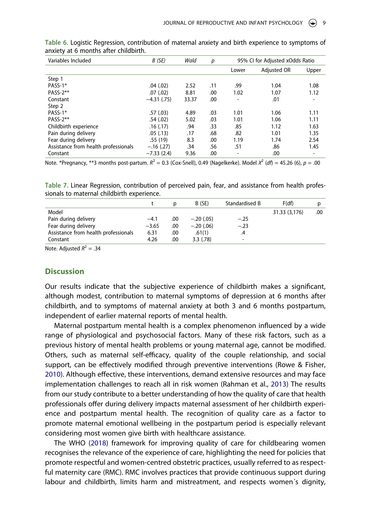| Variables Included                   | B(SE)         | Wald  | p   | 95% CI for Adjusted xOdds Ratio |                    |       |
|--------------------------------------|---------------|-------|-----|---------------------------------|--------------------|-------|
|                                      |               |       |     | Lower                           | <b>Adjusted OR</b> | Upper |
| Step 1                               |               |       |     |                                 |                    |       |
| PASS-1*                              | .04(.02)      | 2.52  | .11 | .99                             | 1.04               | 1.08  |
| PASS-2**                             | .07(.02)      | 8.81  | .00 | 1.02                            | 1.07               | 1.12  |
| Constant                             | $-4.31(0.75)$ | 33.37 | .00 | -                               | .01                |       |
| Step 2                               |               |       |     |                                 |                    |       |
| PASS-1*                              | .57(.03)      | 4.89  | .03 | 1.01                            | 1.06               | 1.11  |
| PASS-2**                             | .54(.02)      | 5.02  | .03 | 1.01                            | 1.06               | 1.11  |
| Childbirth experience                | .16(0.17)     | .94   | .33 | .85                             | 1.12               | 1.63  |
| Pain during delivery                 | .05(0.13)     | .17   | .68 | .82                             | 1.01               | 1.35  |
| Fear during delivery                 | .55 (19)      | 8.3   | .00 | 1.19                            | 1.74               | 2.54  |
| Assistance from health professionals | $-.16(.27)$   | .34   | .56 | .51                             | .86                | 1.45  |
| Constant                             | $-7.33(2.4)$  | 9.36  | .00 | $\overline{\phantom{a}}$        | .00                |       |

**Table 6.** Logistic Regression, contribution of maternal anxiety and birth experience to symptoms of anxiety at 6 months after childbirth.

Note. \*Pregnancy, \*\*3 months post-partum.  $R^2 = 0.3$  (Cox-Snell), 0.49 (Nagelkerke). Model  $X^2 (df) = 45.26$  (6),  $p = .00$ 

**Table 7.** Linear Regression, contribution of perceived pain, fear, and assistance from health professionals to maternal childbirth experience.

|                                      |         | D   | B (SE)      | Standardised B           | F(df)         |     |
|--------------------------------------|---------|-----|-------------|--------------------------|---------------|-----|
| Model                                |         |     |             |                          | 31.33 (3,176) | .00 |
| Pain during delivery                 | $-4.1$  | .00 | $-.20(.05)$ | $-.25$                   |               |     |
| Fear during delivery                 | $-3.65$ | .00 | $-.20(.06)$ | $-.23$                   |               |     |
| Assistance from health professionals | 6.31    | .00 | .61(1)      | .4                       |               |     |
| Constant                             | 4.26    | .00 | 3.3(78)     | $\overline{\phantom{a}}$ |               |     |

Note. Adjusted  $R^2 = .34$ 

#### **Discussion**

Our results indicate that the subjective experience of childbirth makes a significant, although modest, contribution to maternal symptoms of depression at 6 months after childbirth, and to symptoms of maternal anxiety at both 3 and 6 months postpartum, independent of earlier maternal reports of mental health.

Maternal postpartum mental health is a complex phenomenon influenced by a wide range of physiological and psychosocial factors. Many of these risk factors, such as a previous history of mental health problems or young maternal age, cannot be modified. Others, such as maternal self-efficacy, quality of the couple relationship, and social support, can be effectively modified through preventive interventions (Rowe & Fisher, 2010). Although effective, these interventions, demand extensive resources and may face implementation challenges to reach all in risk women (Rahman et al., 2013) The results from our study contribute to a better understanding of how the quality of care that health professionals offer during delivery impacts maternal assessment of her childbirth experience and postpartum mental health. The recognition of quality care as a factor to promote maternal emotional wellbeing in the postpartum period is especially relevant considering most women give birth with healthcare assistance.

The WHO (2018) framework for improving quality of care for childbearing women recognises the relevance of the experience of care, highlighting the need for policies that promote respectful and women-centred obstetric practices, usually referred to as respectful maternity care (RMC). RMC involves practices that provide continuous support during labour and childbirth, limits harm and mistreatment, and respects women´s dignity,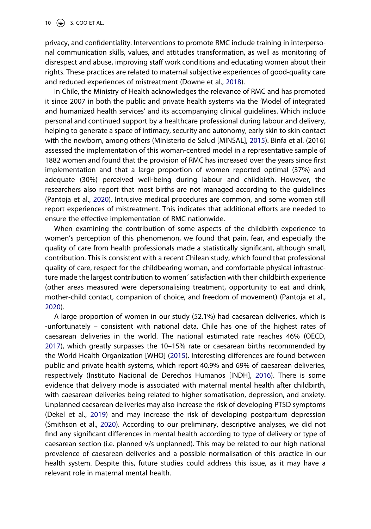10  $\left(\bigcircledast\right)$  S. COO ET AL.

privacy, and confidentiality. Interventions to promote RMC include training in interpersonal communication skills, values, and attitudes transformation, as well as monitoring of disrespect and abuse, improving staff work conditions and educating women about their rights. These practices are related to maternal subjective experiences of good-quality care and reduced experiences of mistreatment (Downe et al., 2018).

In Chile, the Ministry of Health acknowledges the relevance of RMC and has promoted it since 2007 in both the public and private health systems via the 'Model of integrated and humanized health services' and its accompanying clinical guidelines. Which include personal and continued support by a healthcare professional during labour and delivery, helping to generate a space of intimacy, security and autonomy, early skin to skin contact with the newborn, among others (Ministerio de Salud [MINSAL], 2015). Binfa et al. (2016) assessed the implementation of this woman-centred model in a representative sample of 1882 women and found that the provision of RMC has increased over the years since first implementation and that a large proportion of women reported optimal (37%) and adequate (30%) perceived well-being during labour and childbirth. However, the researchers also report that most births are not managed according to the guidelines (Pantoja et al., 2020). Intrusive medical procedures are common, and some women still report experiences of mistreatment. This indicates that additional efforts are needed to ensure the effective implementation of RMC nationwide.

When examining the contribution of some aspects of the childbirth experience to women's perception of this phenomenon, we found that pain, fear, and especially the quality of care from health professionals made a statistically significant, although small, contribution. This is consistent with a recent Chilean study, which found that professional quality of care, respect for the childbearing woman, and comfortable physical infrastructure made the largest contribution to women´ satisfaction with their childbirth experience (other areas measured were depersonalising treatment, opportunity to eat and drink, mother-child contact, companion of choice, and freedom of movement) (Pantoja et al., 2020).

A large proportion of women in our study (52.1%) had caesarean deliveries, which is -unfortunately – consistent with national data. Chile has one of the highest rates of caesarean deliveries in the world. The national estimated rate reaches 46% (OECD, 2017), which greatly surpasses the 10–15% rate or caesarean births recommended by the World Health Organization [WHO] (2015). Interesting differences are found between public and private health systems, which report 40.9% and 69% of caesarean deliveries, respectively (Instituto Nacional de Derechos Humanos [INDH], 2016). There is some evidence that delivery mode is associated with maternal mental health after childbirth, with caesarean deliveries being related to higher somatisation, depression, and anxiety. Unplanned caesarean deliveries may also increase the risk of developing PTSD symptoms (Dekel et al., 2019) and may increase the risk of developing postpartum depression (Smithson et al., 2020). According to our preliminary, descriptive analyses, we did not find any significant differences in mental health according to type of delivery or type of caesarean section (i.e. planned v/s unplanned). This may be related to our high national prevalence of caesarean deliveries and a possible normalisation of this practice in our health system. Despite this, future studies could address this issue, as it may have a relevant role in maternal mental health.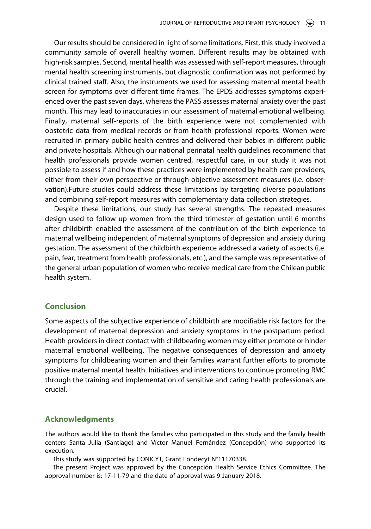Our results should be considered in light of some limitations. First, this study involved a community sample of overall healthy women. Different results may be obtained with high-risk samples. Second, mental health was assessed with self-report measures, through mental health screening instruments, but diagnostic confirmation was not performed by clinical trained staff. Also, the instruments we used for assessing maternal mental health screen for symptoms over different time frames. The EPDS addresses symptoms experienced over the past seven days, whereas the PASS assesses maternal anxiety over the past month. This may lead to inaccuracies in our assessment of maternal emotional wellbeing. Finally, maternal self-reports of the birth experience were not complemented with obstetric data from medical records or from health professional reports. Women were recruited in primary public health centres and delivered their babies in different public and private hospitals. Although our national perinatal health guidelines recommend that health professionals provide women centred, respectful care, in our study it was not possible to assess if and how these practices were implemented by health care providers, either from their own perspective or through objective assessment measures (i.e. observation).Future studies could address these limitations by targeting diverse populations and combining self-report measures with complementary data collection strategies.

Despite these limitations, our study has several strengths. The repeated measures design used to follow up women from the third trimester of gestation until 6 months after childbirth enabled the assessment of the contribution of the birth experience to maternal wellbeing independent of maternal symptoms of depression and anxiety during gestation. The assessment of the childbirth experience addressed a variety of aspects (i.e. pain, fear, treatment from health professionals, etc.), and the sample was representative of the general urban population of women who receive medical care from the Chilean public health system.

#### **Conclusion**

Some aspects of the subjective experience of childbirth are modifiable risk factors for the development of maternal depression and anxiety symptoms in the postpartum period. Health providers in direct contact with childbearing women may either promote or hinder maternal emotional wellbeing. The negative consequences of depression and anxiety symptoms for childbearing women and their families warrant further efforts to promote positive maternal mental health. Initiatives and interventions to continue promoting RMC through the training and implementation of sensitive and caring health professionals are crucial.

#### **Acknowledgments**

The authors would like to thank the families who participated in this study and the family health centers Santa Julia (Santiago) and Víctor Manuel Fernández (Concepción) who supported its execution.

This study was supported by CONICYT, Grant Fondecyt N°11170338.

The present Project was approved by the Concepción Health Service Ethics Committee. The approval number is: 17-11-79 and the date of approval was 9 January 2018.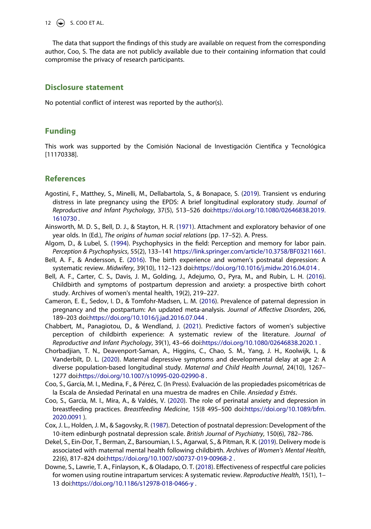12  $\bigodot$  S. COO ET AL.

The data that support the findings of this study are available on request from the corresponding author, Coo, S. The data are not publicly available due to their containing information that could compromise the privacy of research participants.

#### **Disclosure statement**

No potential conflict of interest was reported by the author(s).

## **Funding**

This work was supported by the Comisión Nacional de Investigación Científica y Tecnológica [11170338].

## **References**

- Agostini, F., Matthey, S., Minelli, M., Dellabartola, S., & Bonapace, S. (2019). Transient vs enduring distress in late pregnancy using the EPDS: A brief longitudinal exploratory study. *Journal of Reproductive and Infant Psychology*, 37(5), 513–526 doi:https://doi.org/10.1080/02646838.2019. 1610730 .
- Ainsworth, M. D. S., Bell, D. J., & Stayton, H. R. (1971). Attachment and exploratory behavior of one year olds. In (Ed.), *The origins of human social relations* (pp. 17–52). A. Press.
- Algom, D., & Lubel, S. (1994). Psychophysics in the field: Perception and memory for labor pain. *Perception & Psychophysics*, 55(2), 133–141 https://link.springer.com/article/10.3758/BF03211661 .
- Bell, A. F., & Andersson, E. (2016). The birth experience and women's postnatal depression: A systematic review. *Midwifery*, 39(10), 112–123 doi:https://doi.org/10.1016/j.midw.2016.04.014 .
- Bell, A. F., Carter, C. S., Davis, J. M., Golding, J., Adejumo, O., Pyra, M., and Rubin, L. H. (2016). Childbirth and symptoms of postpartum depression and anxiety: a prospective birth cohort study. Archives of women's mental health, 19(2), 219–227.
- Cameron, E. E., Sedov, I. D., & Tomfohr-Madsen, L. M. (2016). Prevalence of paternal depression in pregnancy and the postpartum: An updated meta-analysis. *Journal of Affective Disorders*, 206, 189–203 doi:https://doi.org/10.1016/j.jad.2016.07.044 .
- Chabbert, M., Panagiotou, D., & Wendland, J. (2021). Predictive factors of women's subjective perception of childbirth experience: A systematic review of the literature. *Journal of Reproductive and Infant Psychology*, 39(1), 43–66 doi:https://doi.org/10.1080/02646838.2020.1 .
- Chorbadjian, T. N., Deavenport-Saman, A., Higgins, C., Chao, S. M., Yang, J. H., Koolwijk, I., & Vanderbilt, D. L. (2020). Maternal depressive symptoms and developmental delay at age 2: A diverse population-based longitudinal study. *Maternal and Child Health Journal*, 24(10), 1267– 1277 doi:https://doi.org/10.1007/s10995-020-02990-8 .
- Coo, S., García, M. I., Medina, F., & Pérez, C. (In Press). Evaluación de las propiedades psicométricas de la Escala de Ansiedad Perinatal en una muestra de madres en Chile. *Ansiedad y Estrés*.
- Coo, S., García, M. I., Mira, A., & Valdés, V. (2020). The role of perinatal anxiety and depression in breastfeeding practices. *Breastfeeding Medicine*, 15(8 495–500 doi:https://doi.org/10.1089/bfm. 2020.0091 ).
- Cox, J. L., Holden, J. M., & Sagovsky, R. (1987). Detection of postnatal depression: Development of the 10-item edinburgh postnatal depression scale. *British Journal of Psychiatry*, 150(6), 782–786.
- Dekel, S., Ein-Dor, T., Berman, Z., Barsoumian, I. S., Agarwal, S., & Pitman, R. K. (2019). Delivery mode is associated with maternal mental health following childbirth. *Archives of Women's Mental Health*, 22(6), 817–824 doi:https://doi.org/10.1007/s00737-019-00968-2 .
- Downe, S., Lawrie, T. A., Finlayson, K., & Oladapo, O. T. (2018). Effectiveness of respectful care policies for women using routine intrapartum services: A systematic review. *Reproductive Health*, 15(1), 1– 13 doi:https://doi.org/10.1186/s12978-018-0466-y .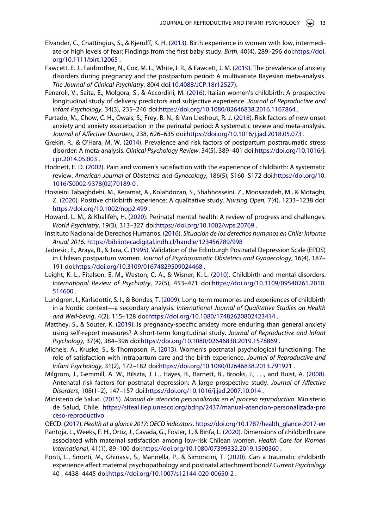- Elvander, C., Cnattingius, S., & Kjerulff, K. H. (2013). Birth experience in women with low, intermediate or high levels of fear: Findings from the first baby study. *Birth*, 40(4), 289–296 doi:https://doi. org/10.1111/birt.12065 .
- Fawcett, E. J., Fairbrother, N., Cox, M. L., White, I. R., & Fawcett, J. M. (2019). The prevalence of anxiety disorders during pregnancy and the postpartum period: A multivariate Bayesian meta-analysis. *The Journal of Clinical Psychiatry*, 80(4 doi:10.4088/JCP.18r12527).
- Fenaroli, V., Saita, E., Molgora, S., & Accordini, M. (2016). Italian women's childbirth: A prospective longitudinal study of delivery predictors and subjective experience. *Journal of Reproductive and Infant Psychology*, 34(3), 235–246 doi:https://doi.org/10.1080/02646838.2016.1167864 .
- Furtado, M., Chow, C. H., Owais, S., Frey, B. N., & Van Lieshout, R. J. (2018). Risk factors of new onset anxiety and anxiety exacerbation in the perinatal period: A systematic review and meta-analysis. *Journal of Affective Disorders*, 238, 626–635 doi:https://doi.org/10.1016/j.jad.2018.05.073 .
- Grekin, R., & O'Hara, M. W. (2014). Prevalence and risk factors of postpartum posttraumatic stress disorder: A meta-analysis. *Clinical Psychology Review*, 34(5), 389–401 doi:https://doi.org/10.1016/j. cpr.2014.05.003 .
- Hodnett, E. D. (2002). Pain and women's satisfaction with the experience of childbirth: A systematic review. *American Journal of Obstetrics and Gynecology*, 186(5), S160–S172 doi:https://doi.org/10. 1016/S0002-9378(02)70189-0 .
- Hosseini Tabaghdehi, M., Keramat, A., Kolahdozan, S., Shahhosseini, Z., Moosazadeh, M., & Motaghi, Z. (2020). Positive childbirth experience: A qualitative study. *Nursing Open*, 7(4), 1233–1238 doi: https://doi.org/10.1002/nop2.499 .
- Howard, L. M., & Khalifeh, H. (2020). Perinatal mental health: A review of progress and challenges. *World Psychiatry*, 19(3), 313–327 doi:https://doi.org/10.1002/wps.20769 .
- Instituto Nacional de Derechos Humanos. (2016). *Situación de los derechos humanos en Chile: Informe Anual 2016*. https://bibliotecadigital.indh.cl/handle/123456789/998
- Jadresic, E., Araya, R., & Jara, C. (1995). Validation of the Edinburgh Postnatal Depression Scale (EPDS) in Chilean postpartum women. *Journal of Psychosomatic Obstetrics and Gynaecology*, 16(4), 187– 191 doi:https://doi.org/10.3109/01674829509024468 .
- Leight, K. L., Fitelson, E. M., Weston, C. A., & Wisner, K. L. (2010). Childbirth and mental disorders. *International Review of Psychiatry*, 22(5), 453–471 doi:https://doi.org/10.3109/09540261.2010. 514600 .
- Lundgren, I., Karlsdottir, S. I., & Bondas, T. (2009). Long-term memories and experiences of childbirth in a Nordic context—a secondary analysis. *International Journal of Qualitative Studies on Health and Well-being*, 4(2), 115–128 doi:https://doi.org/10.1080/17482620802423414 .
- Matthey, S., & Souter, K. (2019). Is pregnancy-specific anxiety more enduring than general anxiety using self-report measures? A short-term longitudinal study. *Journal of Reproductive and Infant Psychology*, 37(4), 384–396 doi:https://doi.org/10.1080/02646838.2019.1578869 .
- Michels, A., Kruske, S., & Thompson, R. (2013). Women's postnatal psychological functioning: The role of satisfaction with intrapartum care and the birth experience. *Journal of Reproductive and Infant Psychology*, 31(2), 172–182 doi:https://doi.org/10.1080/02646838.2013.791921 .
- Milgrom, J., Gemmill, A. W., Bilszta, J. L., Hayes, B., Barnett, B., Brooks, J., . . ., and Buist, A. (2008). Antenatal risk factors for postnatal depression: A large prospective study. *Journal of Affective Disorders*, 108(1–2), 147–157 doi:https://doi.org/10.1016/j.jad.2007.10.014 .
- Ministerio de Salud. (2015). *Manual de atención personalizada en el proceso reproductivo*. Ministerio de Salud, Chile. https://siteal.iiep.unesco.org/bdnp/2437/manual-atencion-personalizada-pro ceso-reproductivo
- OECD. (2017). *Health at a glance 2017: OECD indicators*. https://doi.org/10.1787/health\_glance-2017-en
- Pantoja, L., Weeks, F. H., Ortiz, J., Cavada, G., Foster, J., & Binfa, L. (2020). Dimensions of childbirth care associated with maternal satisfaction among low-risk Chilean women. *Health Care for Women International*, 41(1), 89–100 doi:https://doi.org/10.1080/07399332.2019.1590360 .
- Ponti, L., Smorti, M., Ghinassi, S., Mannella, P., & Simoncini, T. (2020). Can a traumatic childbirth experience affect maternal psychopathology and postnatal attachment bond? *Current Psychology*  40 , 4438–4445 doi:https://doi.org/10.1007/s12144-020-00650-2 .